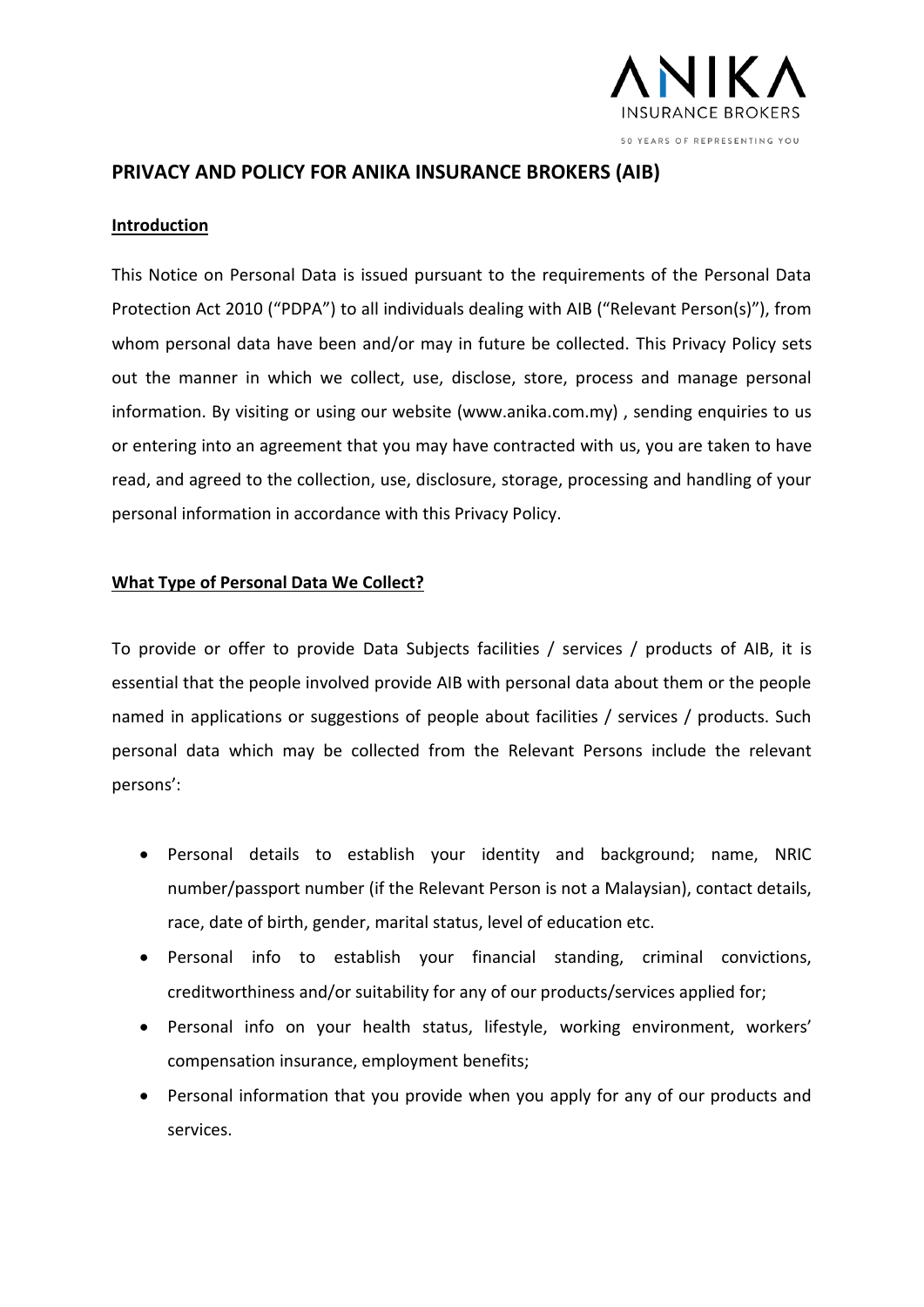

# **PRIVACY AND POLICY FOR ANIKA INSURANCE BROKERS (AIB)**

### **Introduction**

This Notice on Personal Data is issued pursuant to the requirements of the Personal Data Protection Act 2010 ("PDPA") to all individuals dealing with AIB ("Relevant Person(s)"), from whom personal data have been and/or may in future be collected. This Privacy Policy sets out the manner in which we collect, use, disclose, store, process and manage personal information. By visiting or using our website (www.anika.com.my) , sending enquiries to us or entering into an agreement that you may have contracted with us, you are taken to have read, and agreed to the collection, use, disclosure, storage, processing and handling of your personal information in accordance with this Privacy Policy.

### **What Type of Personal Data We Collect?**

To provide or offer to provide Data Subjects facilities / services / products of AIB, it is essential that the people involved provide AIB with personal data about them or the people named in applications or suggestions of people about facilities / services / products. Such personal data which may be collected from the Relevant Persons include the relevant persons':

- Personal details to establish your identity and background; name, NRIC number/passport number (if the Relevant Person is not a Malaysian), contact details, race, date of birth, gender, marital status, level of education etc.
- Personal info to establish your financial standing, criminal convictions, creditworthiness and/or suitability for any of our products/services applied for;
- Personal info on your health status, lifestyle, working environment, workers' compensation insurance, employment benefits;
- Personal information that you provide when you apply for any of our products and services.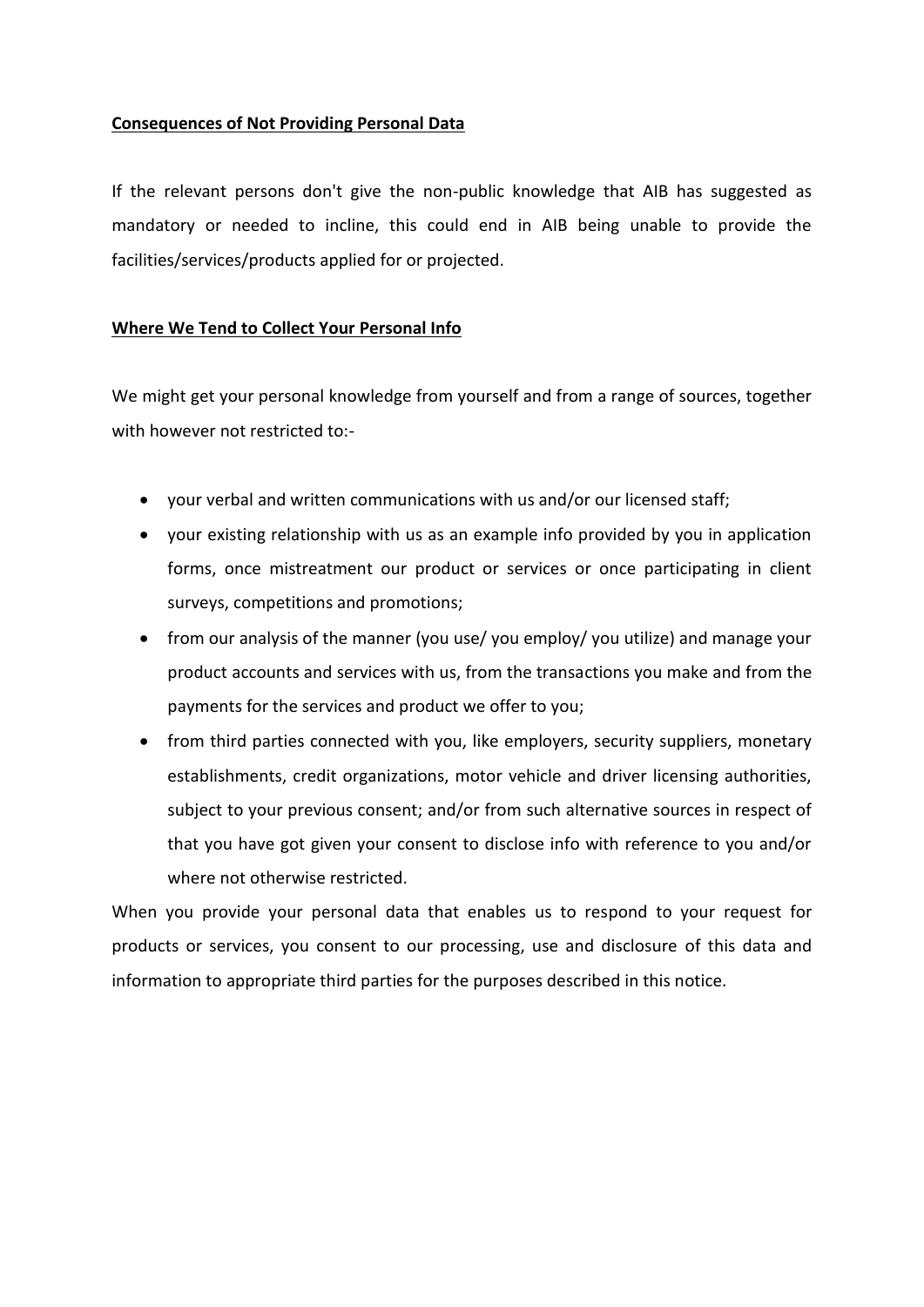## **Consequences of Not Providing Personal Data**

If the relevant persons don't give the non-public knowledge that AIB has suggested as mandatory or needed to incline, this could end in AIB being unable to provide the facilities/services/products applied for or projected.

## **Where We Tend to Collect Your Personal Info**

We might get your personal knowledge from yourself and from a range of sources, together with however not restricted to:-

- your verbal and written communications with us and/or our licensed staff;
- your existing relationship with us as an example info provided by you in application forms, once mistreatment our product or services or once participating in client surveys, competitions and promotions;
- from our analysis of the manner (you use/ you employ/ you utilize) and manage your product accounts and services with us, from the transactions you make and from the payments for the services and product we offer to you;
- from third parties connected with you, like employers, security suppliers, monetary establishments, credit organizations, motor vehicle and driver licensing authorities, subject to your previous consent; and/or from such alternative sources in respect of that you have got given your consent to disclose info with reference to you and/or where not otherwise restricted.

When you provide your personal data that enables us to respond to your request for products or services, you consent to our processing, use and disclosure of this data and information to appropriate third parties for the purposes described in this notice.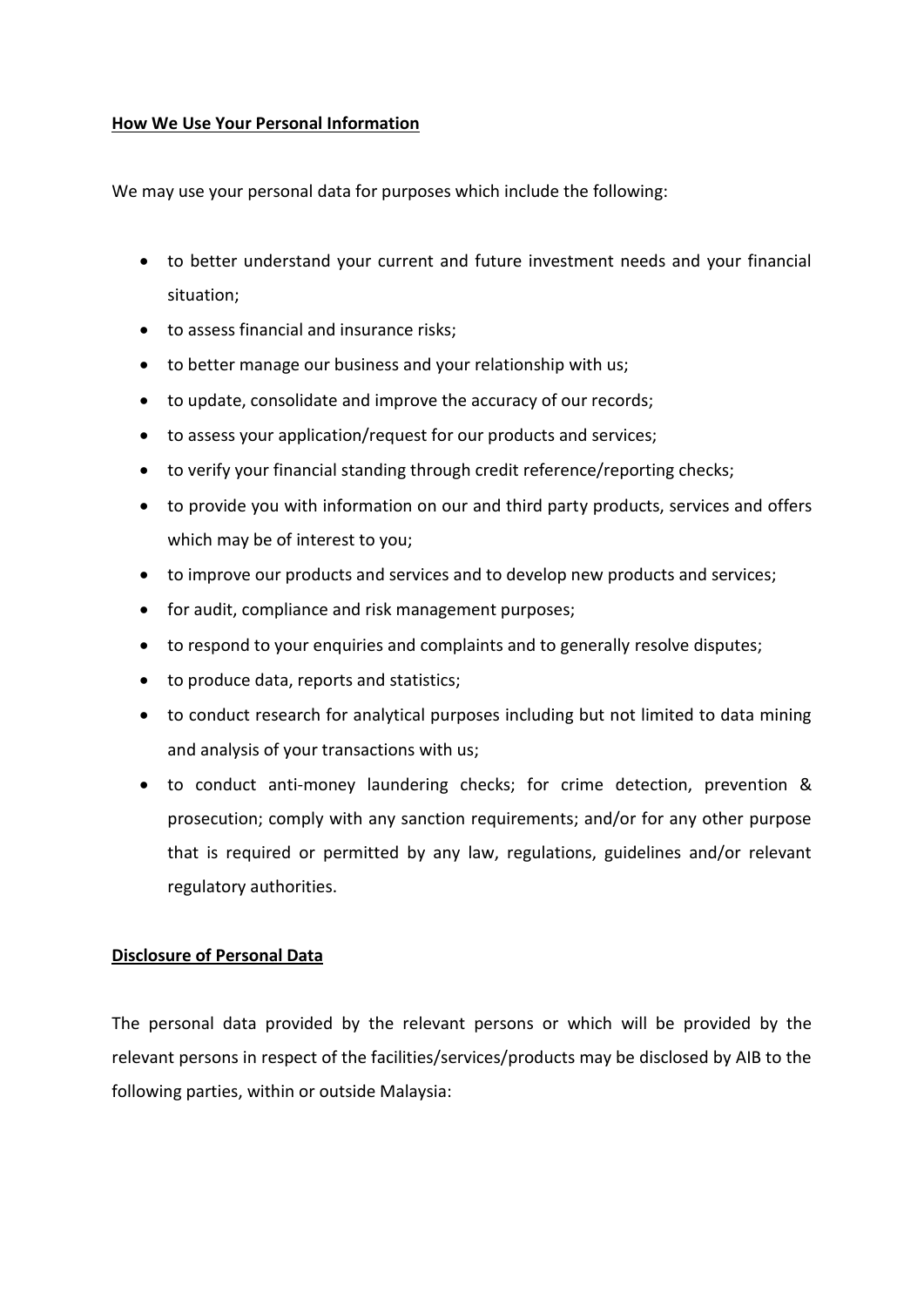## **How We Use Your Personal Information**

We may use your personal data for purposes which include the following:

- to better understand your current and future investment needs and your financial situation;
- to assess financial and insurance risks;
- to better manage our business and your relationship with us;
- to update, consolidate and improve the accuracy of our records;
- to assess your application/request for our products and services;
- to verify your financial standing through credit reference/reporting checks;
- to provide you with information on our and third party products, services and offers which may be of interest to you;
- to improve our products and services and to develop new products and services;
- for audit, compliance and risk management purposes;
- to respond to your enquiries and complaints and to generally resolve disputes;
- to produce data, reports and statistics;
- to conduct research for analytical purposes including but not limited to data mining and analysis of your transactions with us;
- to conduct anti-money laundering checks; for crime detection, prevention & prosecution; comply with any sanction requirements; and/or for any other purpose that is required or permitted by any law, regulations, guidelines and/or relevant regulatory authorities.

## **Disclosure of Personal Data**

The personal data provided by the relevant persons or which will be provided by the relevant persons in respect of the facilities/services/products may be disclosed by AIB to the following parties, within or outside Malaysia: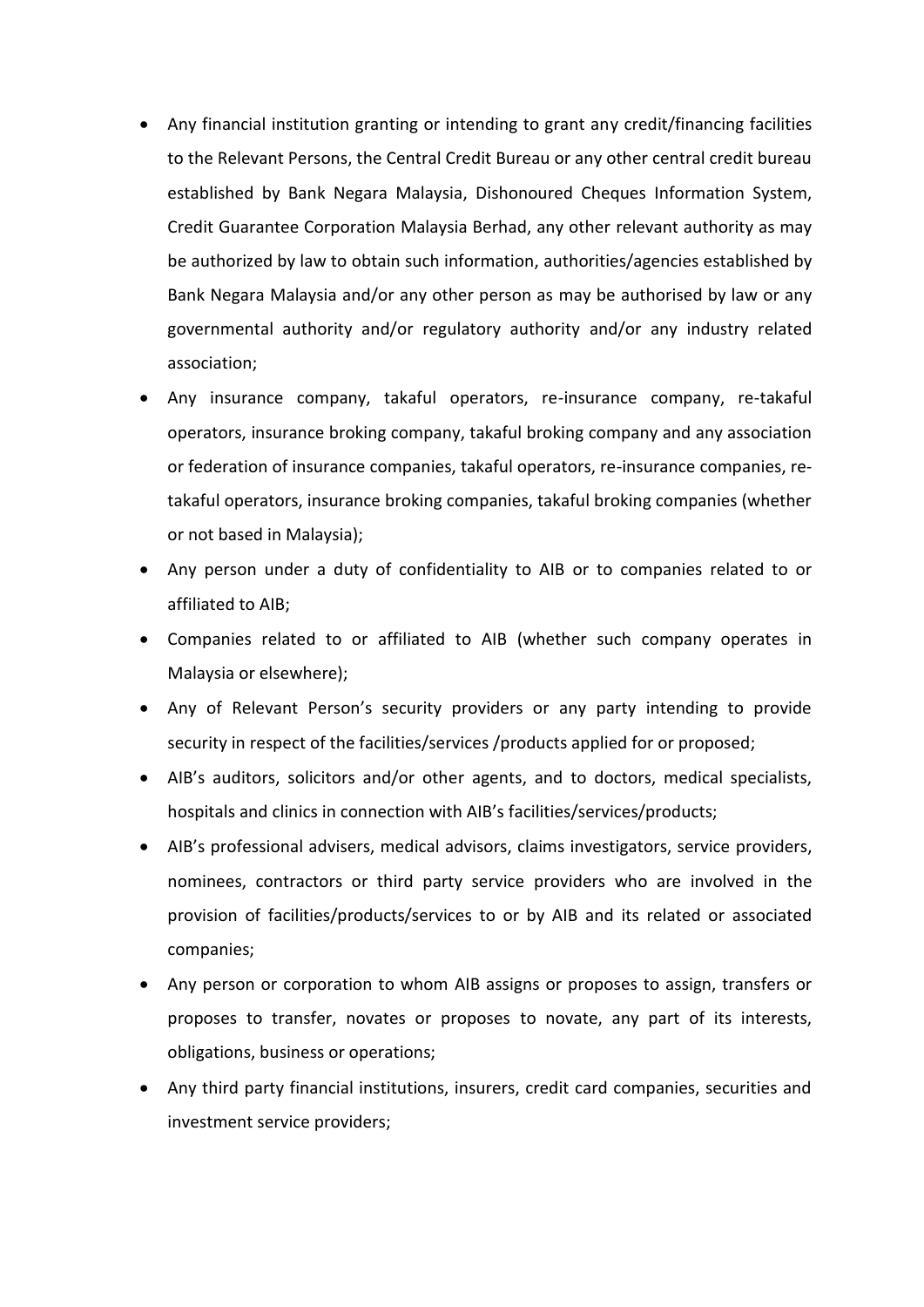- Any financial institution granting or intending to grant any credit/financing facilities to the Relevant Persons, the Central Credit Bureau or any other central credit bureau established by Bank Negara Malaysia, Dishonoured Cheques Information System, Credit Guarantee Corporation Malaysia Berhad, any other relevant authority as may be authorized by law to obtain such information, authorities/agencies established by Bank Negara Malaysia and/or any other person as may be authorised by law or any governmental authority and/or regulatory authority and/or any industry related association;
- Any insurance company, takaful operators, re-insurance company, re-takaful operators, insurance broking company, takaful broking company and any association or federation of insurance companies, takaful operators, re-insurance companies, retakaful operators, insurance broking companies, takaful broking companies (whether or not based in Malaysia);
- Any person under a duty of confidentiality to AIB or to companies related to or affiliated to AIB;
- Companies related to or affiliated to AIB (whether such company operates in Malaysia or elsewhere);
- Any of Relevant Person's security providers or any party intending to provide security in respect of the facilities/services /products applied for or proposed;
- AIB's auditors, solicitors and/or other agents, and to doctors, medical specialists, hospitals and clinics in connection with AIB's facilities/services/products;
- AIB's professional advisers, medical advisors, claims investigators, service providers, nominees, contractors or third party service providers who are involved in the provision of facilities/products/services to or by AIB and its related or associated companies;
- Any person or corporation to whom AIB assigns or proposes to assign, transfers or proposes to transfer, novates or proposes to novate, any part of its interests, obligations, business or operations;
- Any third party financial institutions, insurers, credit card companies, securities and investment service providers;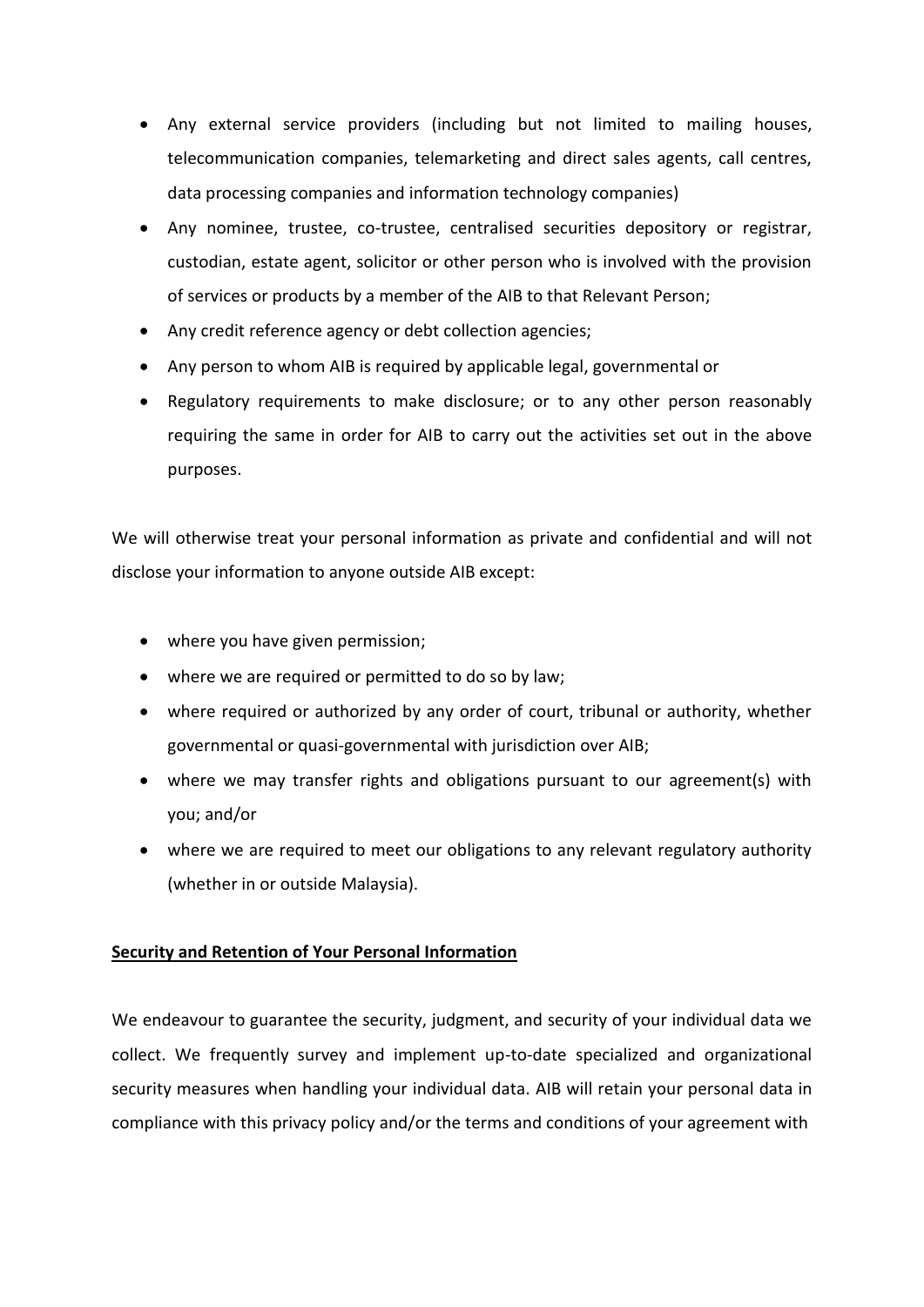- Any external service providers (including but not limited to mailing houses, telecommunication companies, telemarketing and direct sales agents, call centres, data processing companies and information technology companies)
- Any nominee, trustee, co-trustee, centralised securities depository or registrar, custodian, estate agent, solicitor or other person who is involved with the provision of services or products by a member of the AIB to that Relevant Person;
- Any credit reference agency or debt collection agencies;
- Any person to whom AIB is required by applicable legal, governmental or
- Regulatory requirements to make disclosure; or to any other person reasonably requiring the same in order for AIB to carry out the activities set out in the above purposes.

We will otherwise treat your personal information as private and confidential and will not disclose your information to anyone outside AIB except:

- where you have given permission;
- where we are required or permitted to do so by law;
- where required or authorized by any order of court, tribunal or authority, whether governmental or quasi-governmental with jurisdiction over AIB;
- where we may transfer rights and obligations pursuant to our agreement(s) with you; and/or
- where we are required to meet our obligations to any relevant regulatory authority (whether in or outside Malaysia).

## **Security and Retention of Your Personal Information**

We endeavour to guarantee the security, judgment, and security of your individual data we collect. We frequently survey and implement up-to-date specialized and organizational security measures when handling your individual data. AIB will retain your personal data in compliance with this privacy policy and/or the terms and conditions of your agreement with